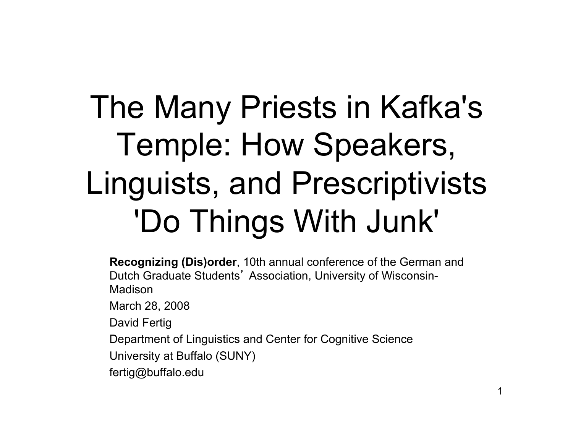# The Many Priests in Kafka's Temple: How Speakers, Linguists, and Prescriptivists 'Do Things With Junk'

**Recognizing (Dis)order**, 10th annual conference of the German and Dutch Graduate Students' Association, University of Wisconsin-Madison

March 28, 2008

David Fertig

Department of Linguistics and Center for Cognitive Science

University at Buffalo (SUNY)

fertig@buffalo.edu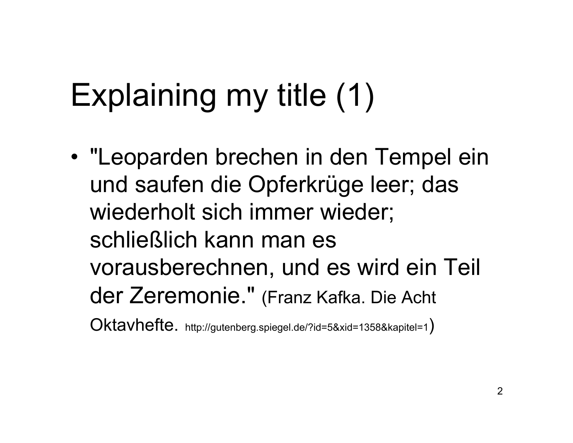# Explaining my title (1)

• "Leoparden brechen in den Tempel ein und saufen die Opferkrüge leer; das wiederholt sich immer wieder; schließlich kann man es vorausberechnen, und es wird ein Teil der Zeremonie." (Franz Kafka. Die Acht Oktavhefte. http://gutenberg.spiegel.de/?id=5&xid=1358&kapitel=1)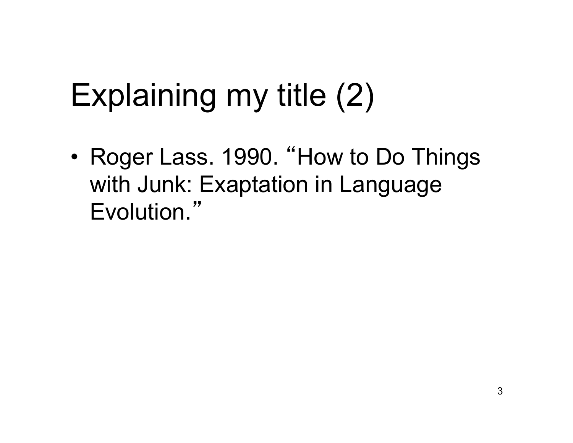# Explaining my title (2)

• Roger Lass. 1990. "How to Do Things with Junk: Exaptation in Language Evolution."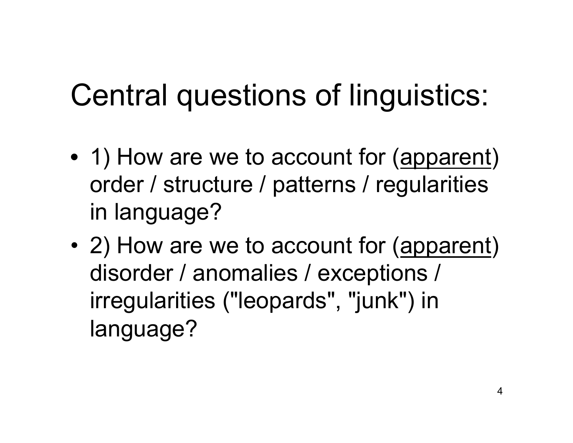#### Central questions of linguistics:

- 1) How are we to account for (apparent) order / structure / patterns / regularities in language?
- 2) How are we to account for (apparent) disorder / anomalies / exceptions / irregularities ("leopards", "junk") in language?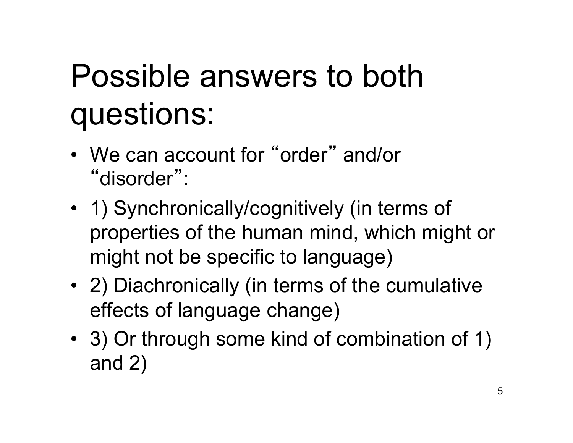# Possible answers to both questions:

- We can account for "order" and/or "disorder" :
- 1) Synchronically/cognitively (in terms of properties of the human mind, which might or might not be specific to language)
- 2) Diachronically (in terms of the cumulative effects of language change)
- 3) Or through some kind of combination of 1) and 2)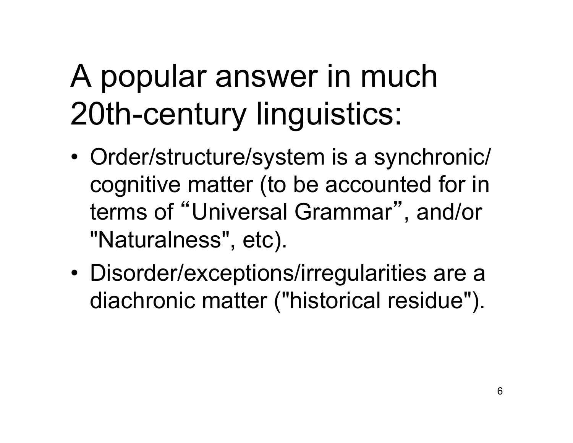# A popular answer in much 20th-century linguistics:

- Order/structure/system is a synchronic/ cognitive matter (to be accounted for in terms of "Universal Grammar", and/or "Naturalness", etc).
- Disorder/exceptions/irregularities are a diachronic matter ("historical residue").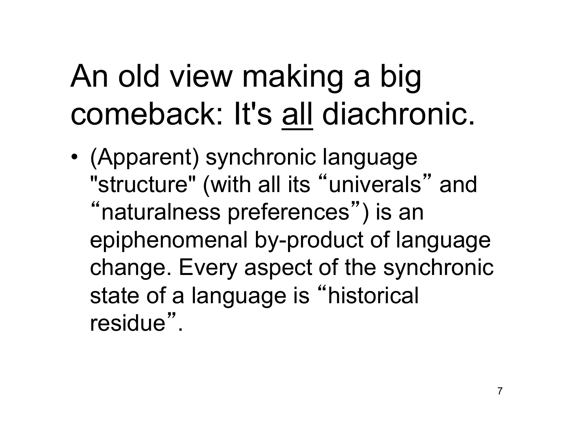# An old view making a big comeback: It's all diachronic.

• (Apparent) synchronic language "structure" (with all its "univerals" and "naturalness preferences") is an epiphenomenal by-product of language change. Every aspect of the synchronic state of a language is "historical residue".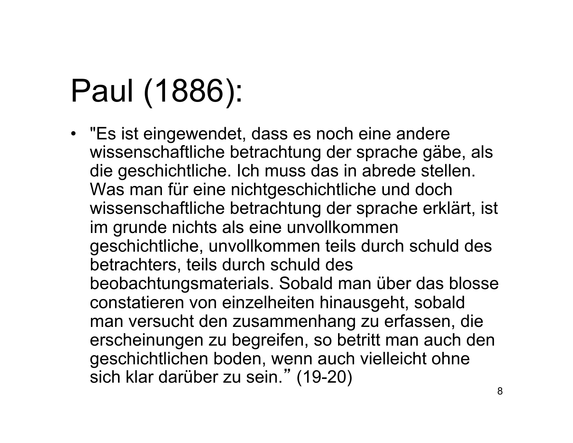# Paul (1886):

• "Es ist eingewendet, dass es noch eine andere wissenschaftliche betrachtung der sprache gäbe, als die geschichtliche. Ich muss das in abrede stellen. Was man für eine nichtgeschichtliche und doch wissenschaftliche betrachtung der sprache erklärt, ist im grunde nichts als eine unvollkommen geschichtliche, unvollkommen teils durch schuld des betrachters, teils durch schuld des beobachtungsmaterials. Sobald man über das blosse constatieren von einzelheiten hinausgeht, sobald man versucht den zusammenhang zu erfassen, die erscheinungen zu begreifen, so betritt man auch den geschichtlichen boden, wenn auch vielleicht ohne sich klar darüber zu sein." (19-20)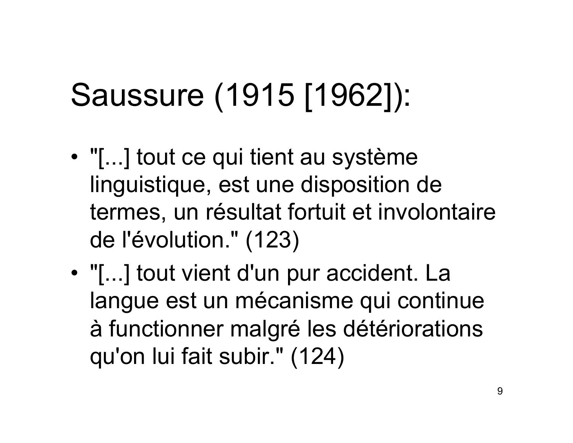# Saussure (1915 [1962]):

- "[...] tout ce qui tient au système linguistique, est une disposition de termes, un résultat fortuit et involontaire de l'évolution." (123)
- "[...] tout vient d'un pur accident. La langue est un mécanisme qui continue à functionner malgré les détériorations qu'on lui fait subir." (124)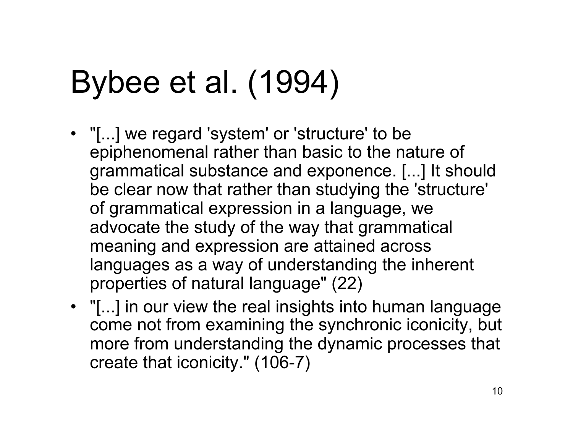# Bybee et al. (1994)

- "[...] we regard 'system' or 'structure' to be epiphenomenal rather than basic to the nature of grammatical substance and exponence. [...] It should be clear now that rather than studying the 'structure' of grammatical expression in a language, we advocate the study of the way that grammatical meaning and expression are attained across languages as a way of understanding the inherent properties of natural language" (22)
- "[...] in our view the real insights into human language come not from examining the synchronic iconicity, but more from understanding the dynamic processes that create that iconicity." (106-7)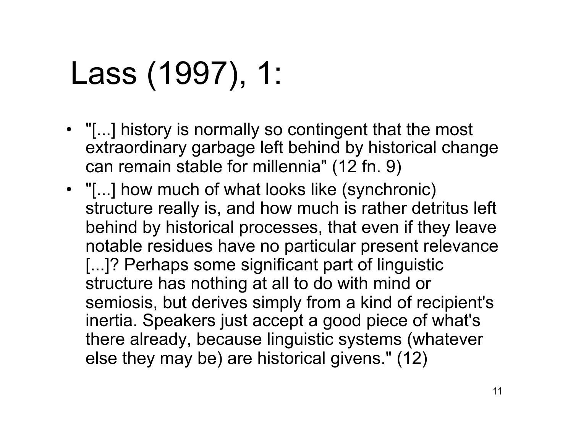# Lass (1997), 1:

- "[...] history is normally so contingent that the most extraordinary garbage left behind by historical change can remain stable for millennia" (12 fn. 9)
- "[...] how much of what looks like (synchronic) structure really is, and how much is rather detritus left behind by historical processes, that even if they leave notable residues have no particular present relevance [...]? Perhaps some significant part of linguistic structure has nothing at all to do with mind or semiosis, but derives simply from a kind of recipient's inertia. Speakers just accept a good piece of what's there already, because linguistic systems (whatever else they may be) are historical givens." (12)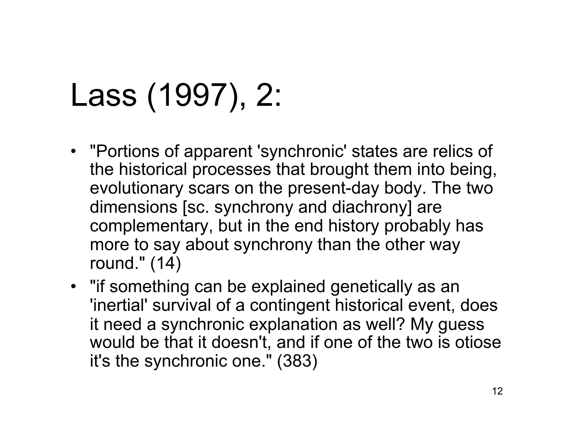# Lass (1997), 2:

- "Portions of apparent 'synchronic' states are relics of the historical processes that brought them into being, evolutionary scars on the present-day body. The two dimensions [sc. synchrony and diachrony] are complementary, but in the end history probably has more to say about synchrony than the other way round." (14)
- "if something can be explained genetically as an 'inertial' survival of a contingent historical event, does it need a synchronic explanation as well? My guess would be that it doesn't, and if one of the two is otiose it's the synchronic one." (383)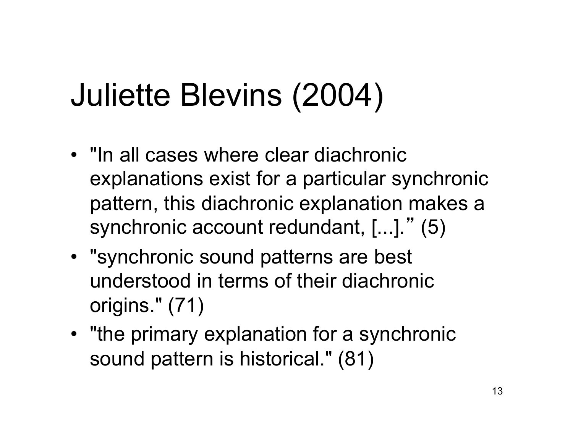# Juliette Blevins (2004)

- "In all cases where clear diachronic explanations exist for a particular synchronic pattern, this diachronic explanation makes a synchronic account redundant, [...]." (5)
- "synchronic sound patterns are best understood in terms of their diachronic origins." (71)
- "the primary explanation for a synchronic sound pattern is historical." (81)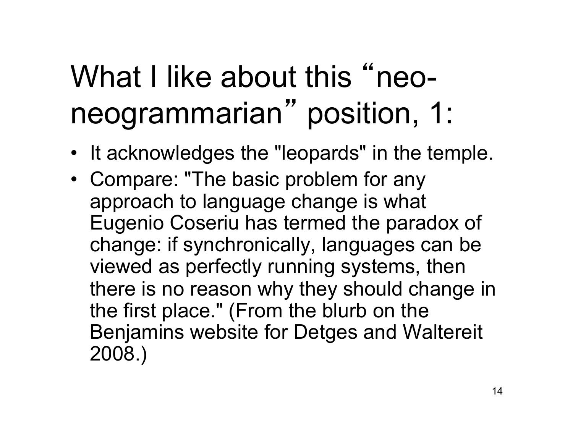#### What I like about this "neoneogrammarian" position, 1:

- It acknowledges the "leopards" in the temple.
- Compare: "The basic problem for any approach to language change is what Eugenio Coseriu has termed the paradox of change: if synchronically, languages can be viewed as perfectly running systems, then there is no reason why they should change in the first place." (From the blurb on the Benjamins website for Detges and Waltereit 2008.)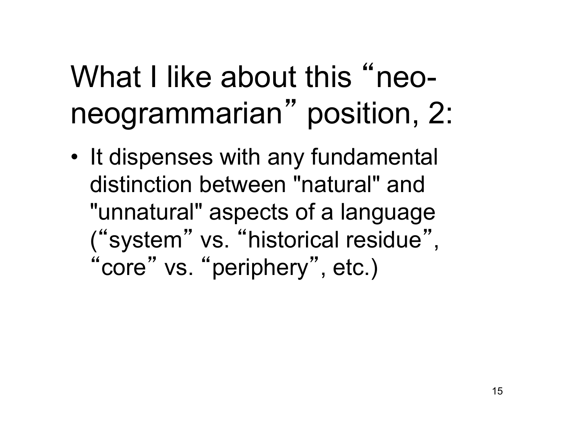#### What I like about this "neoneogrammarian" position, 2:

• It dispenses with any fundamental distinction between "natural" and "unnatural" aspects of a language ("system" vs. "historical residue" , "core" vs. "periphery", etc.)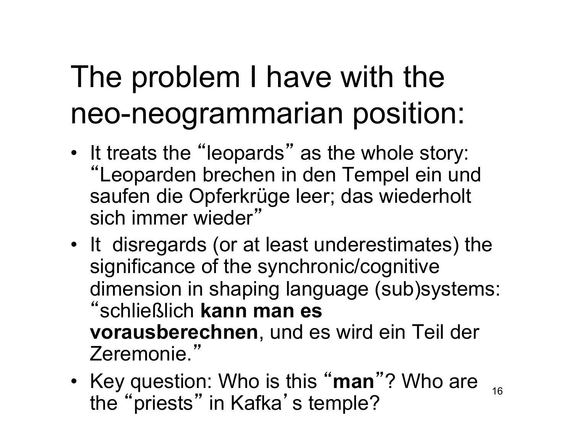#### The problem I have with the neo-neogrammarian position:

- It treats the "leopards" as the whole story: "Leoparden brechen in den Tempel ein und saufen die Opferkrüge leer; das wiederholt sich immer wieder"
- It disregards (or at least underestimates) the significance of the synchronic/cognitive dimension in shaping language (sub)systems: "schließlich **kann man es vorausberechnen**, und es wird ein Teil der Zeremonie."
- 16 • Key question: Who is this " **man** "? Who are the "priests" in Kafka's temple?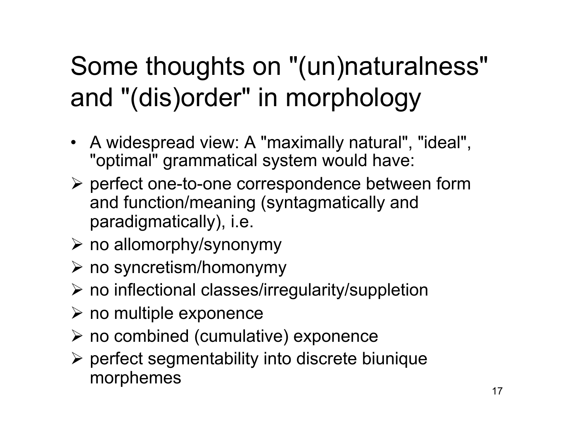#### Some thoughts on "(un)naturalness" and "(dis)order" in morphology

- A widespread view: A "maximally natural", "ideal", "optimal" grammatical system would have:
- $\triangleright$  perfect one-to-one correspondence between form and function/meaning (syntagmatically and paradigmatically), i.e.
- $\triangleright$  no allomorphy/synonymy
- $\triangleright$  no syncretism/homonymy
- $\triangleright$  no inflectional classes/irregularity/suppletion
- $\triangleright$  no multiple exponence
- $\triangleright$  no combined (cumulative) exponence
- $\triangleright$  perfect segmentability into discrete biunique morphemes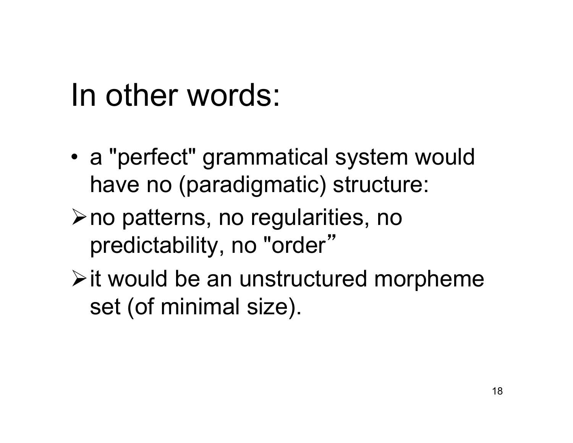#### In other words:

- a "perfect" grammatical system would have no (paradigmatic) structure:
- $\triangleright$  no patterns, no regularities, no predictability, no "order"
- $\triangleright$  it would be an unstructured morpheme set (of minimal size).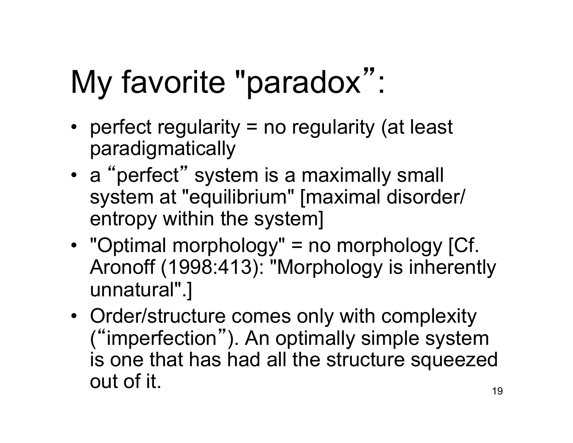# My favorite "paradox":

- perfect regularity = no regularity (at least paradigmatically
- a "perfect" system is a maximally small system at "equilibrium" [maximal disorder/ entropy within the system]
- "Optimal morphology" = no morphology [Cf. Aronoff (1998:413): "Morphology is inherently unnatural".]
- Order/structure comes only with complexity ("imperfection"). An optimally simple system is one that has had all the structure squeezed out of it.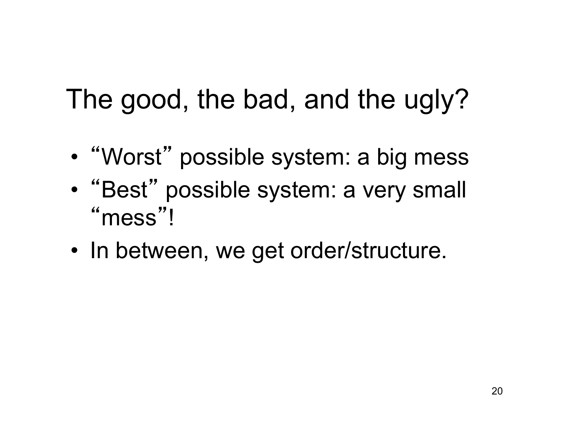The good, the bad, and the ugly?

- "Worst" possible system: a big mess
- "Best" possible system: a very small " mess "!
- In between, we get order/structure.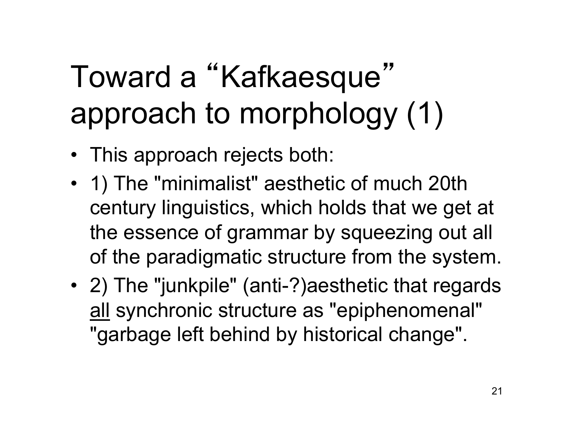# Toward a "Kafkaesque" approach to morphology (1)

- This approach rejects both:
- 1) The "minimalist" aesthetic of much 20th century linguistics, which holds that we get at the essence of grammar by squeezing out all of the paradigmatic structure from the system.
- 2) The "junkpile" (anti-?) aesthetic that regards all synchronic structure as "epiphenomenal" "garbage left behind by historical change".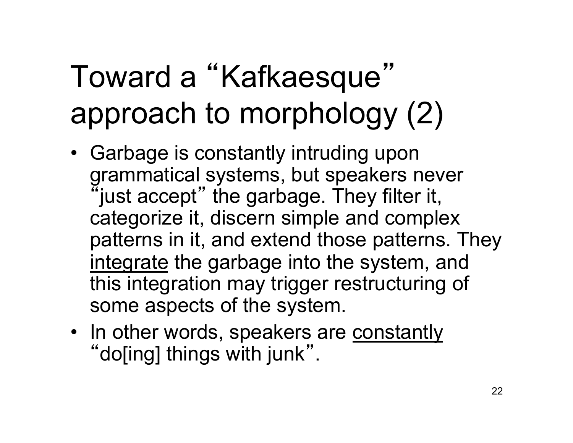## Toward a "Kafkaesque" approach to morphology (2)

- Garbage is constantly intruding upon grammatical systems, but speakers never "just accept" the garbage. They filter it, categorize it, discern simple and complex patterns in it, and extend those patterns. They integrate the garbage into the system, and this integration may trigger restructuring of some aspects of the system.
- In other words, speakers are constantly "do[ing] things with junk".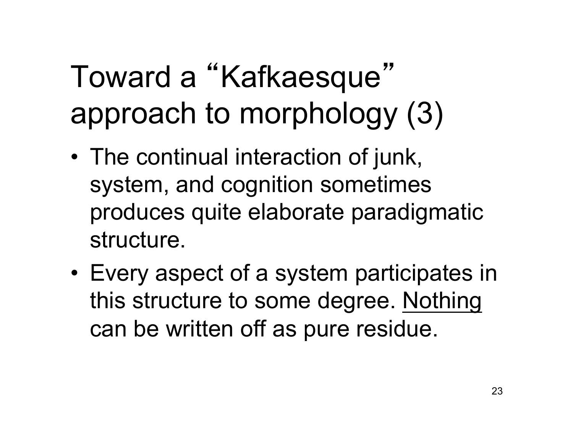# Toward a "Kafkaesque" approach to morphology (3)

- The continual interaction of junk, system, and cognition sometimes produces quite elaborate paradigmatic structure.
- Every aspect of a system participates in this structure to some degree. Nothing can be written off as pure residue.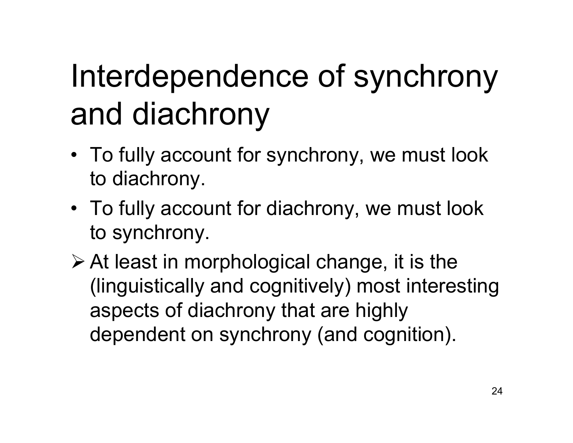# Interdependence of synchrony and diachrony

- To fully account for synchrony, we must look to diachrony.
- To fully account for diachrony, we must look to synchrony.
- $\triangleright$  At least in morphological change, it is the (linguistically and cognitively) most interesting aspects of diachrony that are highly dependent on synchrony (and cognition).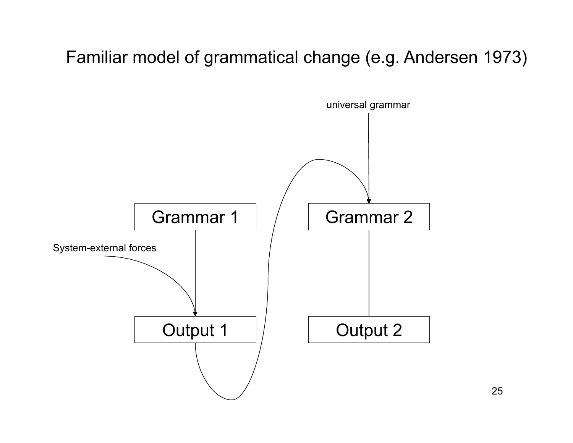#### Familiar model of grammatical change (e.g. Andersen 1973)

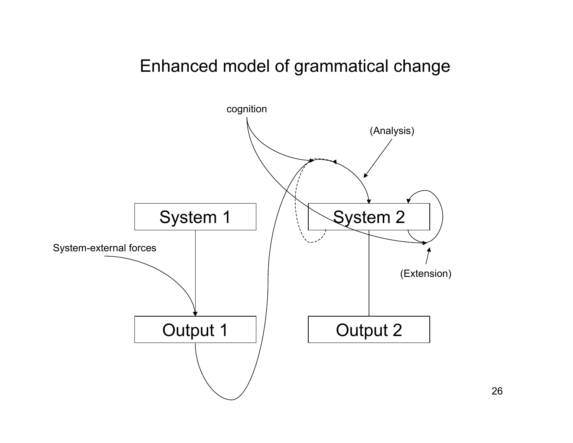#### Enhanced model of grammatical change



26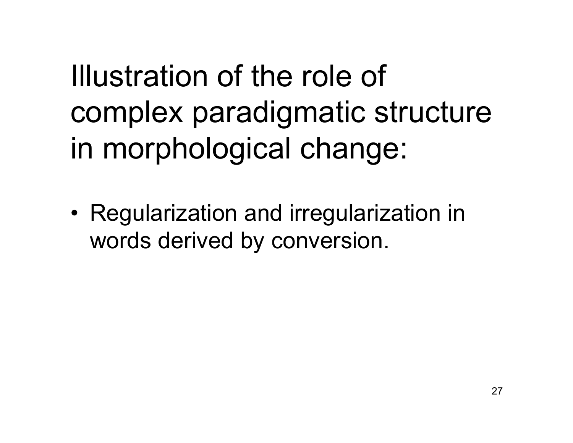Illustration of the role of complex paradigmatic structure in morphological change:

• Regularization and irregularization in words derived by conversion.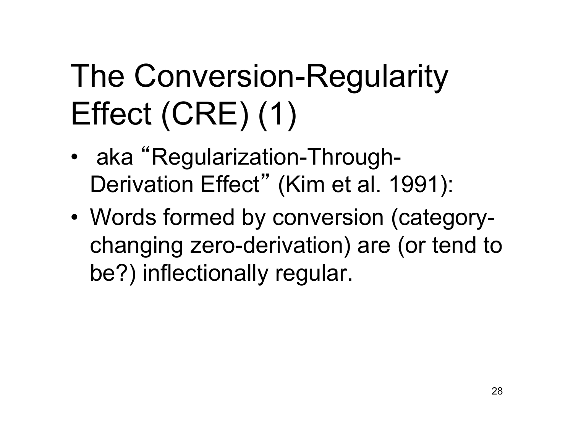# The Conversion-Regularity Effect (CRE) (1)

- aka "Regularization-Through-Derivation Effect" (Kim et al. 1991):
- Words formed by conversion (categorychanging zero-derivation) are (or tend to be?) inflectionally regular.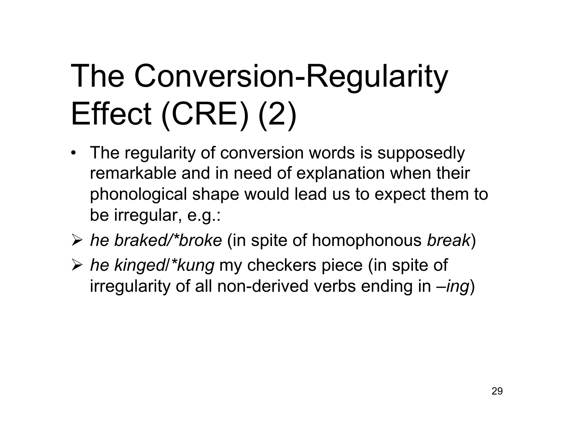# The Conversion-Regularity Effect (CRE) (2)

- The regularity of conversion words is supposedly remarkable and in need of explanation when their phonological shape would lead us to expect them to be irregular, e.g.:
- *he braked/\*broke* (in spite of homophonous *break*)
- *he kinged*/*\*kung* my checkers piece (in spite of irregularity of all non-derived verbs ending in *–ing*)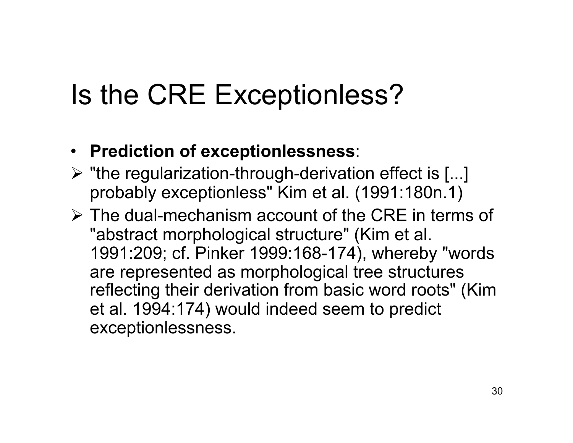#### Is the CRE Exceptionless?

- **Prediction of exceptionlessness**:
- $\triangleright$  "the regularization-through-derivation effect is [...] probably exceptionless" Kim et al. (1991:180n.1)
- $\triangleright$  The dual-mechanism account of the CRE in terms of "abstract morphological structure" (Kim et al. 1991:209; cf. Pinker 1999:168-174), whereby "words are represented as morphological tree structures reflecting their derivation from basic word roots" (Kim et al. 1994:174) would indeed seem to predict exceptionlessness.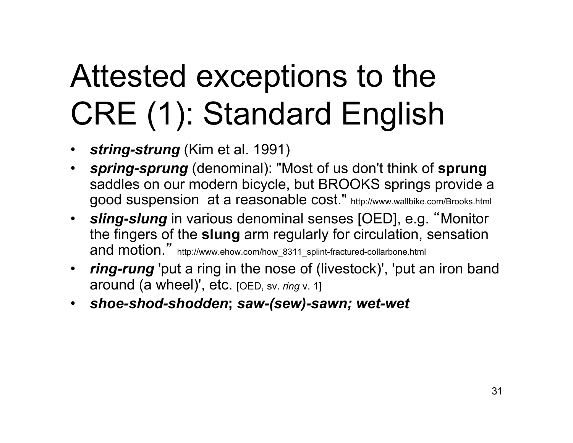# Attested exceptions to the CRE (1): Standard English

- *string-strung* (Kim et al. 1991)
- *spring-sprung* (denominal): "Most of us don't think of **sprung** saddles on our modern bicycle, but BROOKS springs provide a good suspension at a reasonable cost." http://www.wallbike.com/Brooks.html
- *sling***-***slung* in various denominal senses [OED], e.g. "Monitor the fingers of the **slung** arm regularly for circulation, sensation and motion." http://www.ehow.com/how\_8311\_splint-fractured-collarbone.html
- *ring-rung* 'put a ring in the nose of (livestock)', 'put an iron band around (a wheel)', etc. [OED, sv. *ring* v. 1]
- *shoe-shod-shodden***;** *saw-(sew)-sawn; wet-wet*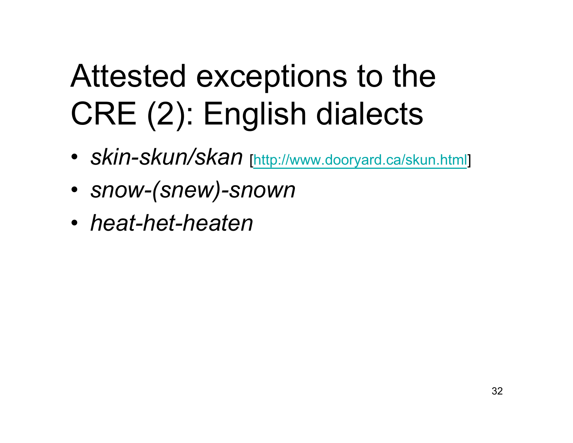# Attested exceptions to the CRE (2): English dialects

- *skin-skun/skan* [http://www.dooryard.ca/skun.html]
- *snow-(snew)-snown*
- *heat-het-heaten*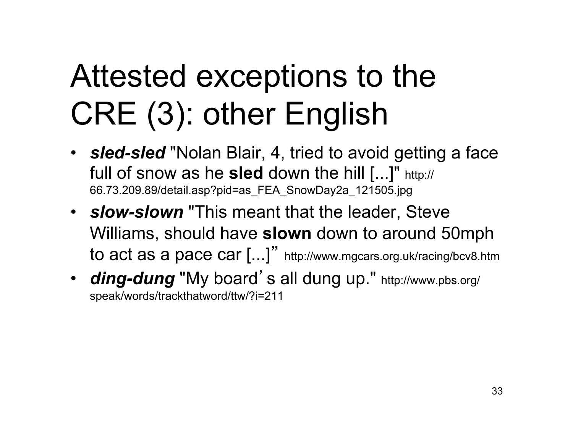# Attested exceptions to the CRE (3): other English

- *sled-sled* "Nolan Blair, 4, tried to avoid getting a face full of snow as he **sled** down the hill [...]" http:// 66.73.209.89/detail.asp?pid=as\_FEA\_SnowDay2a\_121505.jpg
- *slow-slown* "This meant that the leader, Steve Williams, should have **slown** down to around 50mph to act as a pace car [...]" http://www.mgcars.org.uk/racing/bcv8.htm
- **ding-dung** "My board's all dung up." http://www.pbs.org/ speak/words/trackthatword/ttw/?i=211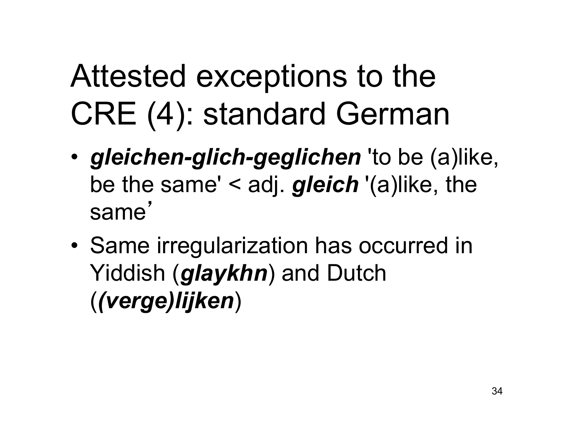# Attested exceptions to the CRE (4): standard German

- *gleichen-glich-geglichen* 'to be (a)like, be the same' < adj. *gleich* '(a)like, the same '
- Same irregularization has occurred in Yiddish (*glaykhn*) and Dutch (*(verge)lijken*)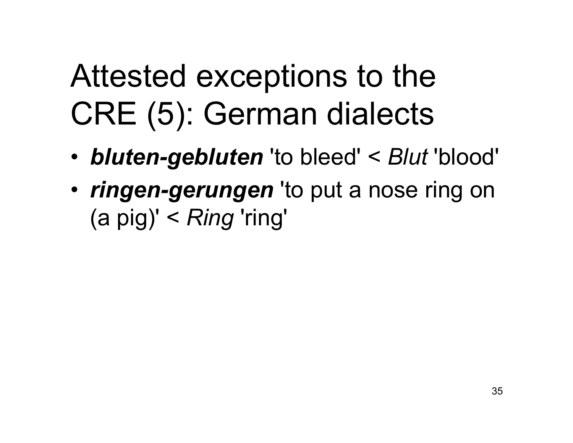## Attested exceptions to the CRE (5): German dialects

- *bluten-gebluten* 'to bleed' < *Blut* 'blood'
- *ringen-gerungen* 'to put a nose ring on (a pig)' < *Ring* 'ring'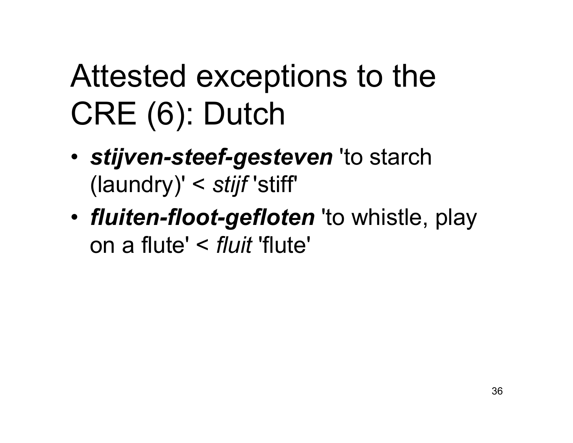# Attested exceptions to the CRE (6): Dutch

- *stijven-steef-gesteven* 'to starch (laundry)' < *stijf* 'stiff'
- *fluiten-floot-gefloten* 'to whistle, play on a flute' < *fluit* 'flute'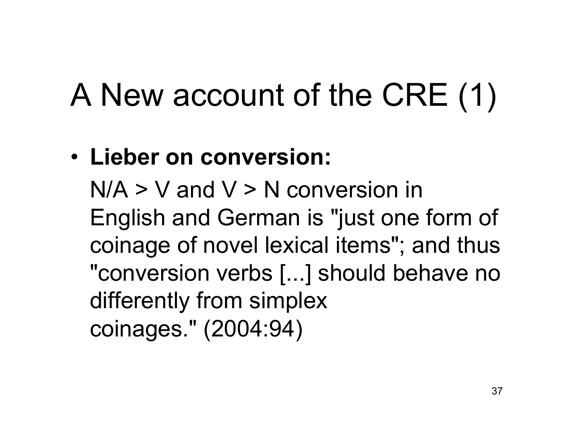# A New account of the CRE (1)

#### • **Lieber on conversion:**

 $N/A > V$  and  $V > N$  conversion in English and German is "just one form of coinage of novel lexical items"; and thus "conversion verbs [...] should behave no differently from simplex coinages." (2004:94)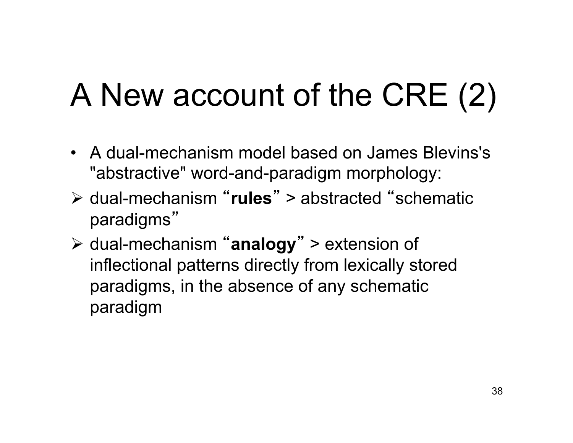# A New account of the CRE (2)

- A dual-mechanism model based on James Blevins's "abstractive" word-and-paradigm morphology:
- dual-mechanism "**rules**" > abstracted "schematic paradigms"
- dual-mechanism "**analogy**" > extension of inflectional patterns directly from lexically stored paradigms, in the absence of any schematic paradigm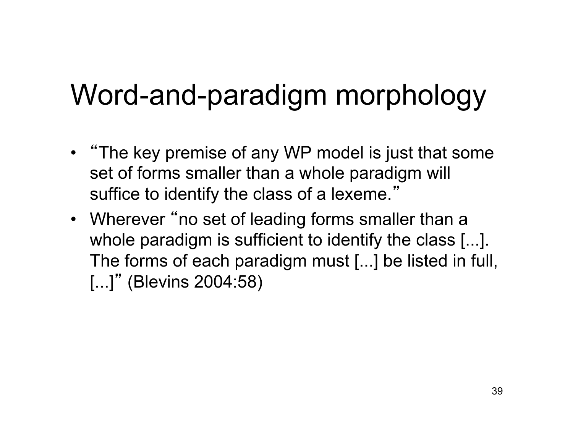#### Word-and-paradigm morphology

- "The key premise of any WP model is just that some set of forms smaller than a whole paradigm will suffice to identify the class of a lexeme."
- Wherever "no set of leading forms smaller than a whole paradigm is sufficient to identify the class [...]. The forms of each paradigm must [...] be listed in full, [...]" (Blevins 2004:58)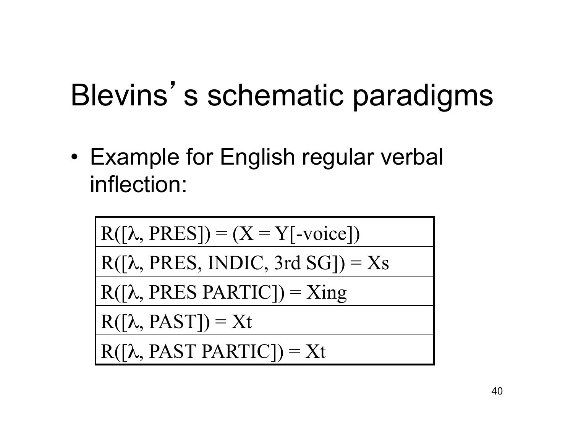#### Blevins's schematic paradigms

• Example for English regular verbal inflection:

$$
\frac{R([\lambda, PRES]) = (X = Y[\text{-voice}])}{R([\lambda, PRES, INDIC, 3rd SG]) = Xs}
$$
  

$$
\frac{R([\lambda, PRES\ PARTIC]) = Xing}{R([\lambda, PAST]) = Xt}
$$
  

$$
R([\lambda, PAST \ PARTIC]) = Xt
$$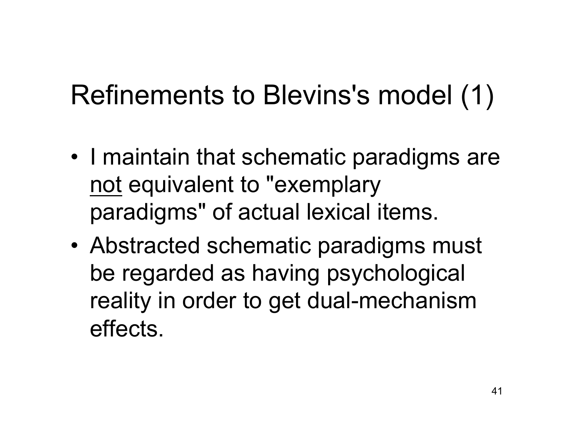#### Refinements to Blevins's model (1)

- I maintain that schematic paradigms are not equivalent to "exemplary paradigms" of actual lexical items.
- Abstracted schematic paradigms must be regarded as having psychological reality in order to get dual-mechanism effects.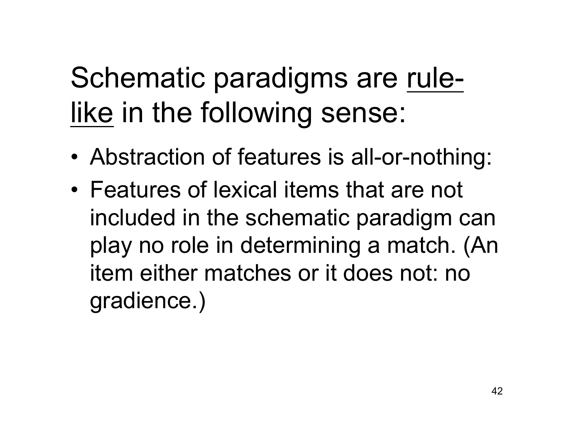#### Schematic paradigms are rulelike in the following sense:

- Abstraction of features is all-or-nothing:
- Features of lexical items that are not included in the schematic paradigm can play no role in determining a match. (An item either matches or it does not: no gradience.)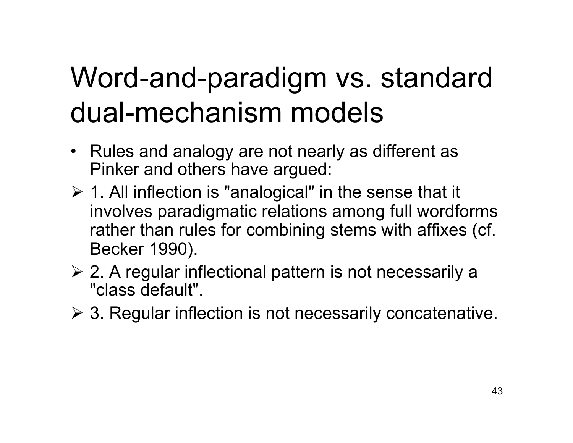#### Word-and-paradigm vs. standard dual-mechanism models

- Rules and analogy are not nearly as different as Pinker and others have argued:
- $\geq 1$ . All inflection is "analogical" in the sense that it involves paradigmatic relations among full wordforms rather than rules for combining stems with affixes (cf. Becker 1990).
- $\geq$  2. A regular inflectional pattern is not necessarily a "class default".
- $\geq$  3. Regular inflection is not necessarily concatenative.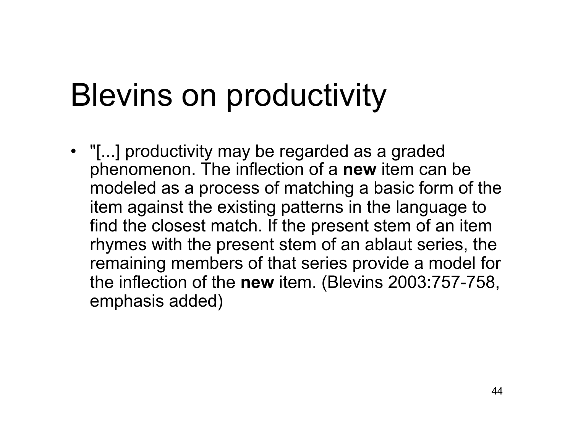#### Blevins on productivity

• "[...] productivity may be regarded as a graded phenomenon. The inflection of a **new** item can be modeled as a process of matching a basic form of the item against the existing patterns in the language to find the closest match. If the present stem of an item rhymes with the present stem of an ablaut series, the remaining members of that series provide a model for the inflection of the **new** item. (Blevins 2003:757-758, emphasis added)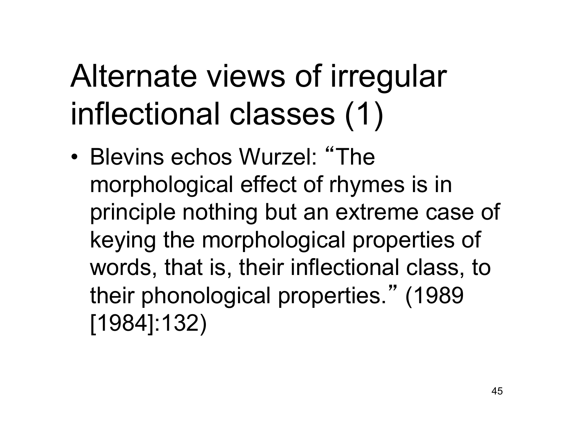### Alternate views of irregular inflectional classes (1)

• Blevins echos Wurzel: "The morphological effect of rhymes is in principle nothing but an extreme case of keying the morphological properties of words, that is, their inflectional class, to their phonological properties." (1989 [1984]:132)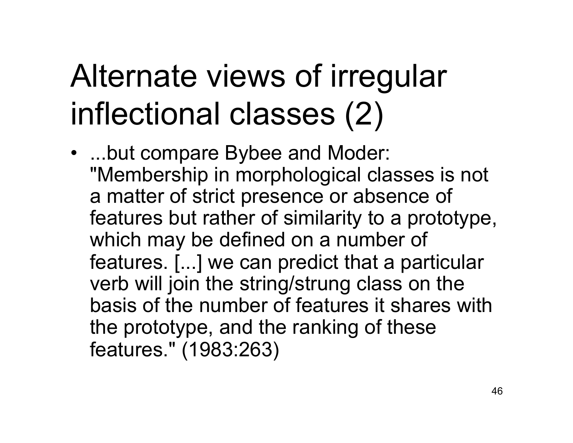## Alternate views of irregular inflectional classes (2)

• ...but compare Bybee and Moder: "Membership in morphological classes is not a matter of strict presence or absence of features but rather of similarity to a prototype, which may be defined on a number of features. [...] we can predict that a particular verb will join the string/strung class on the basis of the number of features it shares with the prototype, and the ranking of these features." (1983:263)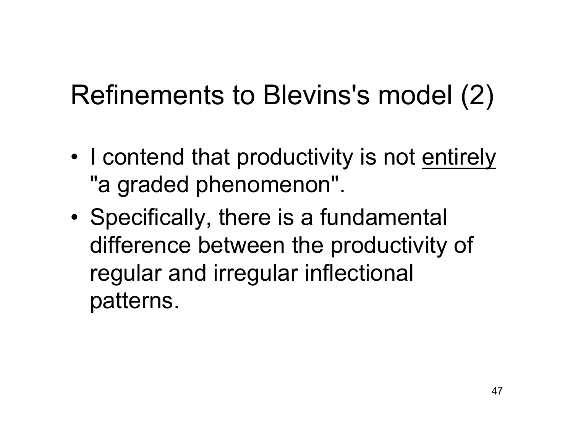#### Refinements to Blevins's model (2)

- I contend that productivity is not entirely "a graded phenomenon".
- Specifically, there is a fundamental difference between the productivity of regular and irregular inflectional patterns.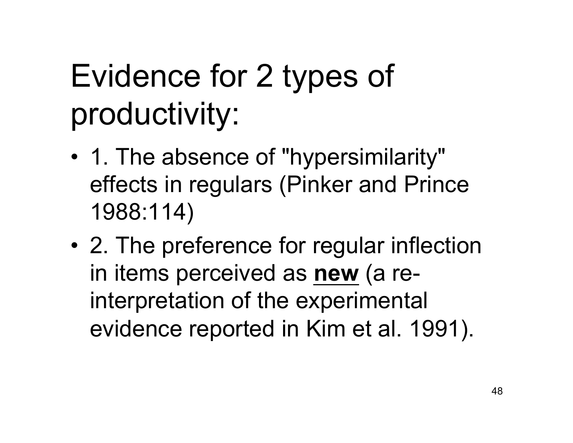## Evidence for 2 types of productivity:

- 1. The absence of "hypersimilarity" effects in regulars (Pinker and Prince 1988:114)
- 2. The preference for regular inflection in items perceived as **new** (a reinterpretation of the experimental evidence reported in Kim et al. 1991).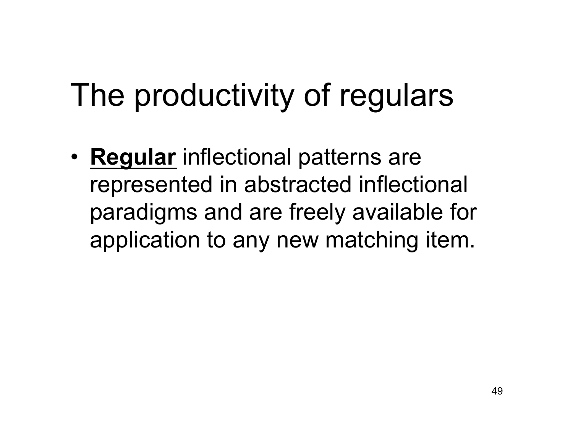#### The productivity of regulars

• **Regular** inflectional patterns are represented in abstracted inflectional paradigms and are freely available for application to any new matching item.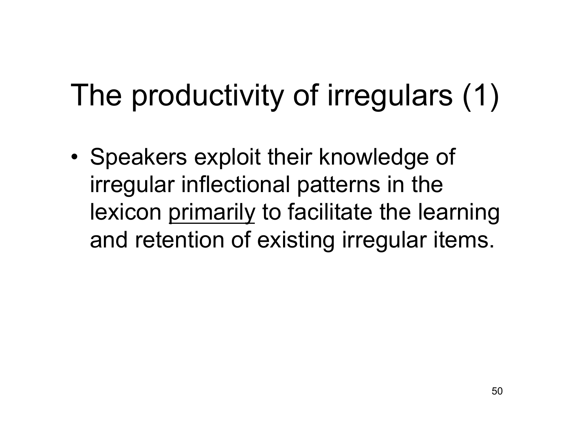#### The productivity of irregulars (1)

• Speakers exploit their knowledge of irregular inflectional patterns in the lexicon primarily to facilitate the learning and retention of existing irregular items.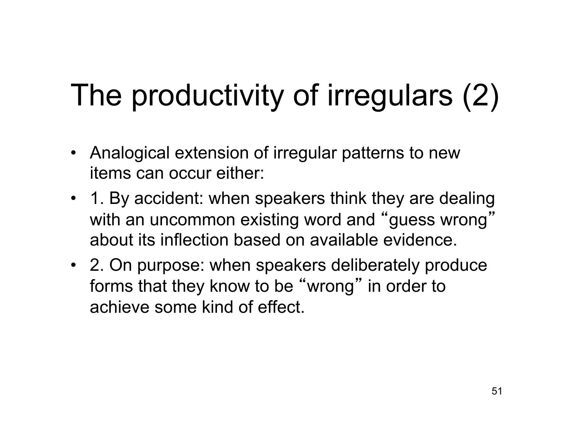#### The productivity of irregulars (2)

- Analogical extension of irregular patterns to new items can occur either:
- 1. By accident: when speakers think they are dealing with an uncommon existing word and " guess wrong " about its inflection based on available evidence.
- 2. On purpose: when speakers deliberately produce forms that they know to be "wrong" in order to achieve some kind of effect.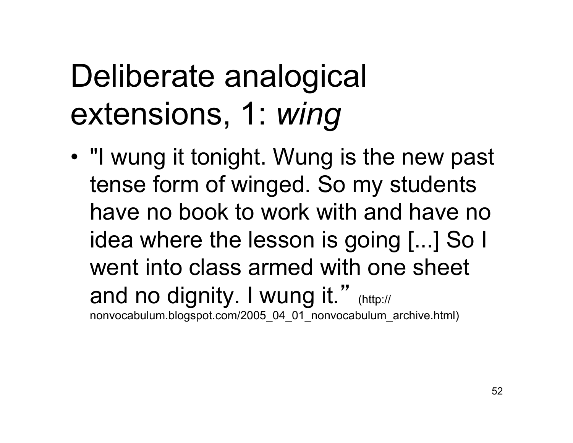#### Deliberate analogical extensions, 1: *wing*

• "I wung it tonight. Wung is the new past tense form of winged. So my students have no book to work with and have no idea where the lesson is going [...] So I went into class armed with one sheet and no dignity. I wung it." (http:// nonvocabulum.blogspot.com/2005\_04\_01\_nonvocabulum\_archive.html)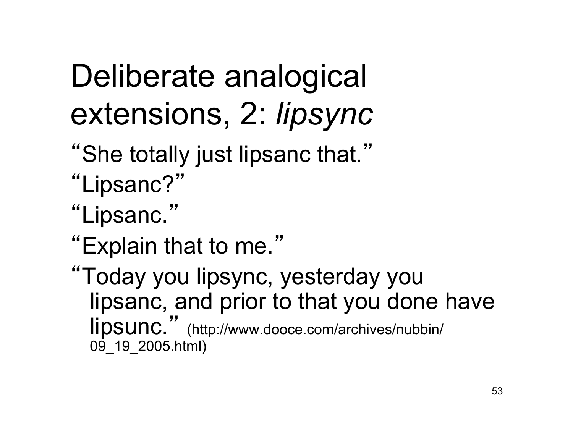## Deliberate analogical extensions, 2: *lipsync*

- "She totally just lipsanc that."
- "Lipsanc?"
- "Lipsanc."
- "Explain that to me."
- "Today you lipsync, yesterday you lipsanc, and prior to that you done have lipsunc." (http://www.dooce.com/archives/nubbin/ 09\_19\_2005.html)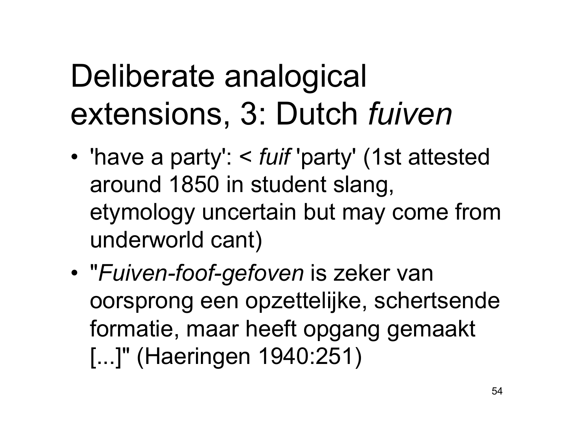## Deliberate analogical extensions, 3: Dutch *fuiven*

- 'have a party': < *fuif* 'party' (1st attested around 1850 in student slang, etymology uncertain but may come from underworld cant)
- "*Fuiven-foof-gefoven* is zeker van oorsprong een opzettelijke, schertsende formatie, maar heeft opgang gemaakt [...]" (Haeringen 1940:251)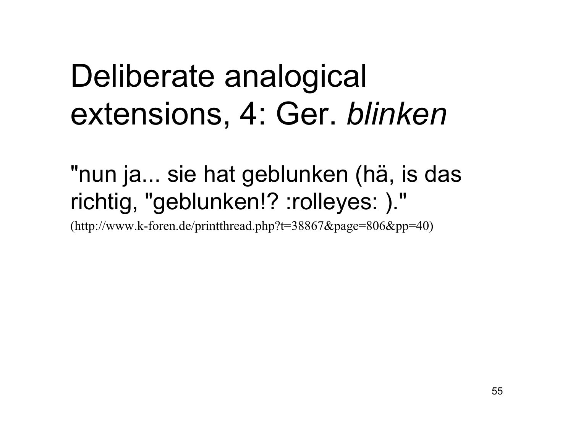#### Deliberate analogical extensions, 4: Ger. *blinken*

"nun ja... sie hat geblunken (hä, is das richtig, "geblunken!? :rolleyes: )."

(http://www.k-foren.de/printthread.php?t=38867&page=806&pp=40)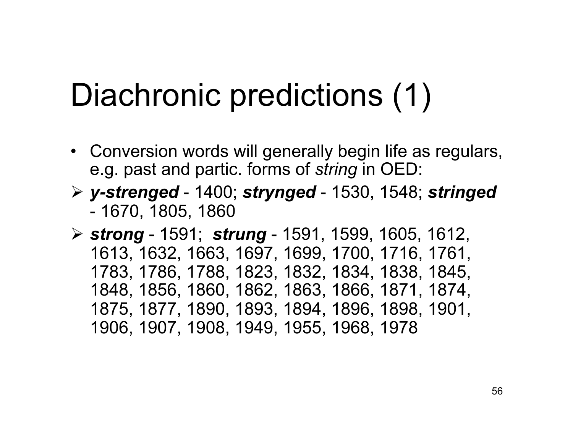#### Diachronic predictions (1)

- Conversion words will generally begin life as regulars, e.g. past and partic. forms of *string* in OED:
- *y-strenged* 1400; *strynged* 1530, 1548; *stringed* - 1670, 1805, 1860

 *strong* - 1591; *strung* - 1591, 1599, 1605, 1612, 1613, 1632, 1663, 1697, 1699, 1700, 1716, 1761, 1783, 1786, 1788, 1823, 1832, 1834, 1838, 1845, 1848, 1856, 1860, 1862, 1863, 1866, 1871, 1874, 1875, 1877, 1890, 1893, 1894, 1896, 1898, 1901, 1906, 1907, 1908, 1949, 1955, 1968, 1978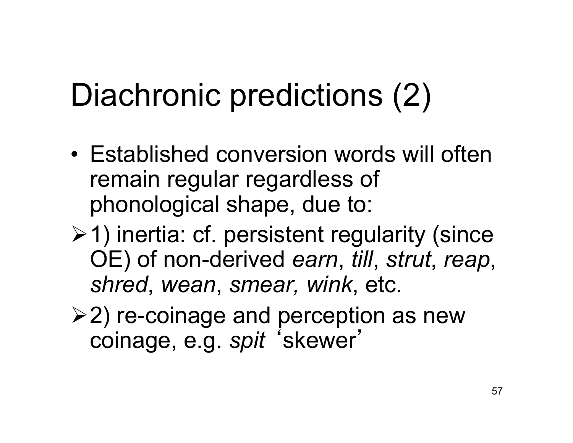## Diachronic predictions (2)

- Established conversion words will often remain regular regardless of phonological shape, due to:
- $\geq 1$ ) inertia: cf. persistent regularity (since OE) of non-derived *earn*, *till*, *strut*, *reap*, *shred*, *wean*, *smear, wink*, etc.
- $\geq$ 2) re-coinage and perception as new coinage, e.g. *spit* ʻskewer'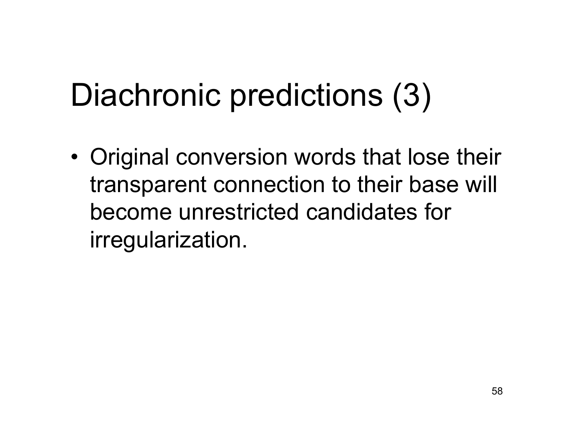## Diachronic predictions (3)

• Original conversion words that lose their transparent connection to their base will become unrestricted candidates for irregularization.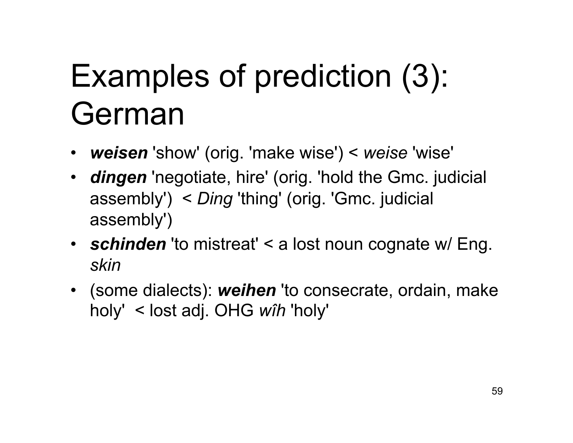## Examples of prediction (3): German

- *weisen* 'show' (orig. 'make wise') < *weise* 'wise'
- *dingen* 'negotiate, hire' (orig. 'hold the Gmc. judicial assembly') < *Ding* 'thing' (orig. 'Gmc. judicial assembly')
- *schinden* 'to mistreat' < a lost noun cognate w/ Eng. *skin*
- (some dialects): *weihen* 'to consecrate, ordain, make holy' < lost adj. OHG *wîh* 'holy'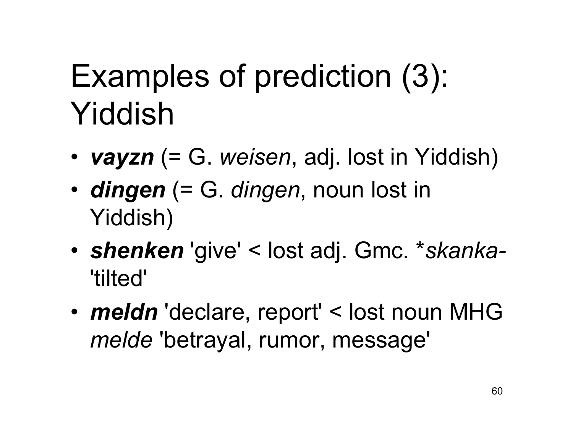## Examples of prediction (3): Yiddish

- *vayzn* (= G. *weisen*, adj. lost in Yiddish)
- *dingen* (= G. *dingen*, noun lost in Yiddish)
- *shenken* 'give' < lost adj. Gmc. \**skanka-*  'tilted'
- *meldn* 'declare, report' < lost noun MHG *melde* 'betrayal, rumor, message'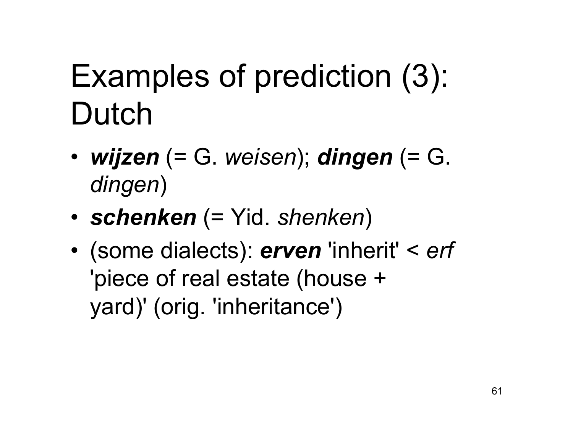## Examples of prediction (3): Dutch

- *wijzen* (= G. *weisen*); *dingen* (= G. *dingen*)
- *schenken* (= Yid. *shenken*)
- (some dialects): *erven* 'inherit' < *erf* 'piece of real estate (house + yard)' (orig. 'inheritance')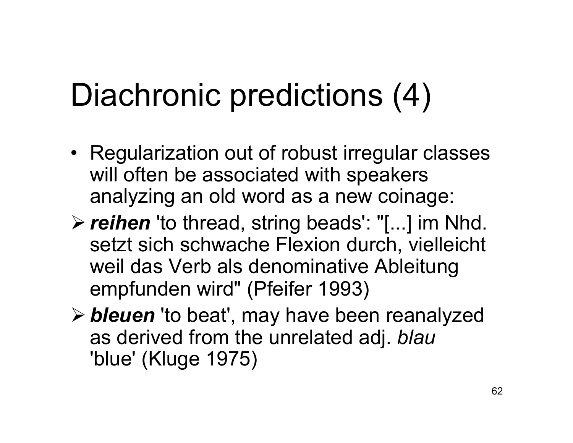## Diachronic predictions (4)

- Regularization out of robust irregular classes will often be associated with speakers analyzing an old word as a new coinage:
- *reihen* 'to thread, string beads': "[...] im Nhd. setzt sich schwache Flexion durch, vielleicht weil das Verb als denominative Ableitung empfunden wird" (Pfeifer 1993)
- *bleuen* 'to beat', may have been reanalyzed as derived from the unrelated adj. *blau* 'blue' (Kluge 1975)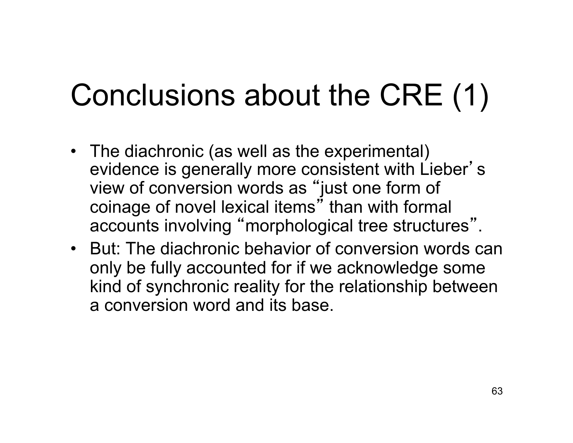#### Conclusions about the CRE (1)

- The diachronic (as well as the experimental) evidence is generally more consistent with Lieber' s view of conversion words as "just one form of coinage of novel lexical items" than with formal accounts involving "morphological tree structures".
- But: The diachronic behavior of conversion words can only be fully accounted for if we acknowledge some kind of synchronic reality for the relationship between a conversion word and its base.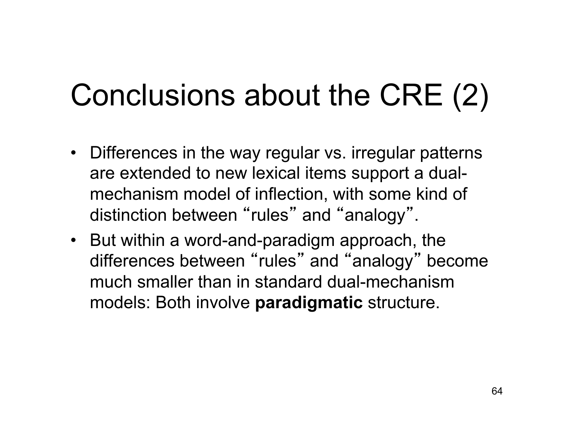#### Conclusions about the CRE (2)

- Differences in the way regular vs. irregular patterns are extended to new lexical items support a dualmechanism model of inflection, with some kind of distinction between "rules" and "analogy".
- But within a word-and-paradigm approach, the differences between "rules" and "analogy" become much smaller than in standard dual-mechanism models: Both involve **paradigmatic** structure.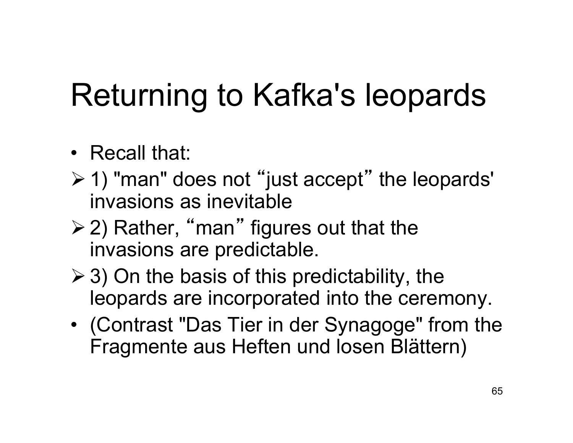## Returning to Kafka's leopards

#### • Recall that:

- $\geq 1$ ) "man" does not "just accept" the leopards" invasions as inevitable
- **≻2) Rather, "man" figures out that the** invasions are predictable.
- $\geq$  3) On the basis of this predictability, the leopards are incorporated into the ceremony.
- (Contrast "Das Tier in der Synagoge" from the Fragmente aus Heften und losen Blättern)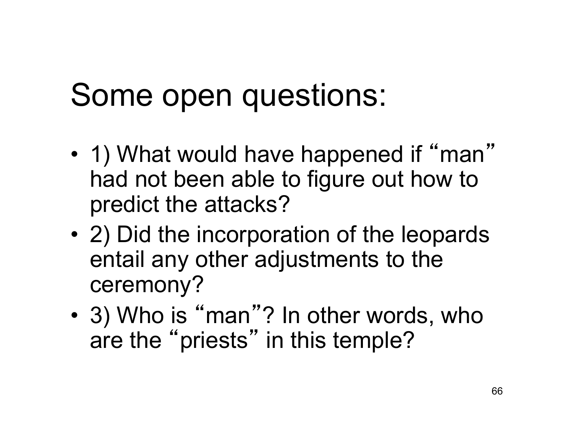#### Some open questions:

- 1) What would have happened if "man" had not been able to figure out how to predict the attacks?
- 2) Did the incorporation of the leopards entail any other adjustments to the ceremony?
- 3) Who is "man"? In other words, who are the "priests" in this temple?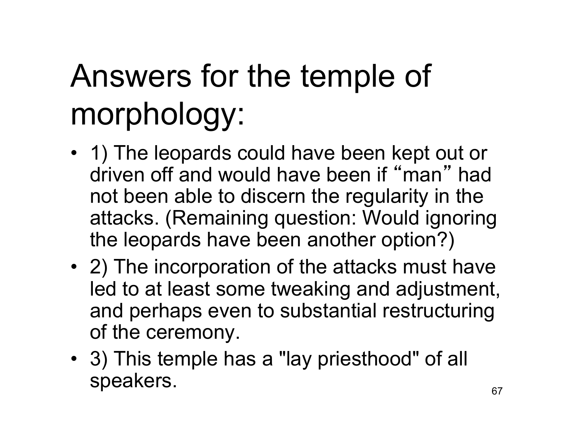# Answers for the temple of morphology:

- 1) The leopards could have been kept out or driven off and would have been if " man " had not been able to discern the regularity in the attacks. (Remaining question: Would ignoring the leopards have been another option?)
- 2) The incorporation of the attacks must have led to at least some tweaking and adjustment, and perhaps even to substantial restructuring of the ceremony.
- 3) This temple has a "lay priesthood" of all speakers.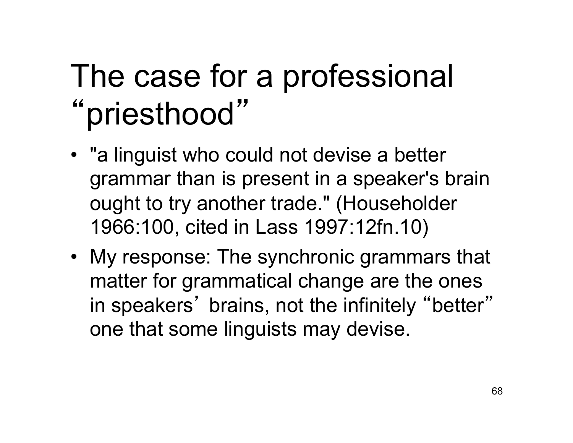#### The case for a professional "priesthood"

- "a linguist who could not devise a better grammar than is present in a speaker's brain ought to try another trade." (Householder 1966:100, cited in Lass 1997:12fn.10)
- My response: The synchronic grammars that matter for grammatical change are the ones in speakers' brains, not the infinitely "better" one that some linguists may devise.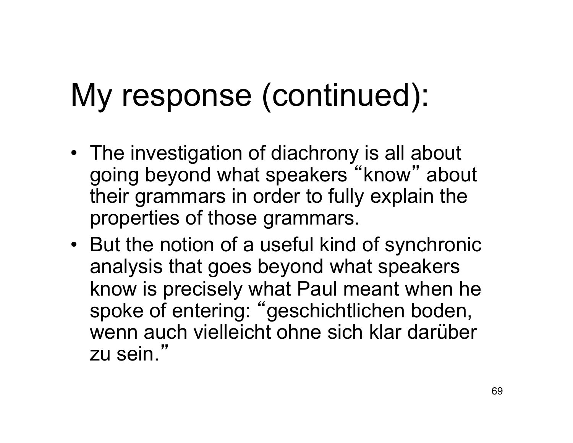## My response (continued):

- The investigation of diachrony is all about going beyond what speakers "know" about their grammars in order to fully explain the properties of those grammars.
- But the notion of a useful kind of synchronic analysis that goes beyond what speakers know is precisely what Paul meant when he spoke of entering: "geschichtlichen boden, wenn auch vielleicht ohne sich klar darüber zu sein."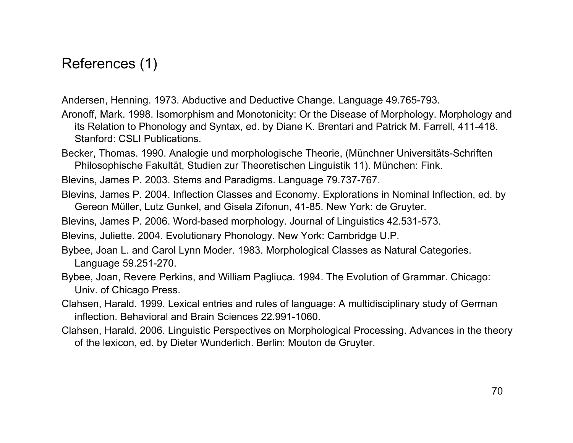References (1)

Andersen, Henning. 1973. Abductive and Deductive Change. Language 49.765-793.

- Aronoff, Mark. 1998. Isomorphism and Monotonicity: Or the Disease of Morphology. Morphology and its Relation to Phonology and Syntax, ed. by Diane K. Brentari and Patrick M. Farrell, 411-418. Stanford: CSLI Publications.
- Becker, Thomas. 1990. Analogie und morphologische Theorie, (Münchner Universitäts-Schriften Philosophische Fakultät, Studien zur Theoretischen Linguistik 11). München: Fink.

Blevins, James P. 2003. Stems and Paradigms. Language 79.737-767.

Blevins, James P. 2004. Inflection Classes and Economy. Explorations in Nominal Inflection, ed. by Gereon Müller, Lutz Gunkel, and Gisela Zifonun, 41-85. New York: de Gruyter.

Blevins, James P. 2006. Word-based morphology. Journal of Linguistics 42.531-573.

Blevins, Juliette. 2004. Evolutionary Phonology. New York: Cambridge U.P.

- Bybee, Joan L. and Carol Lynn Moder. 1983. Morphological Classes as Natural Categories. Language 59.251-270.
- Bybee, Joan, Revere Perkins, and William Pagliuca. 1994. The Evolution of Grammar. Chicago: Univ. of Chicago Press.
- Clahsen, Harald. 1999. Lexical entries and rules of language: A multidisciplinary study of German inflection. Behavioral and Brain Sciences 22.991-1060.
- Clahsen, Harald. 2006. Linguistic Perspectives on Morphological Processing. Advances in the theory of the lexicon, ed. by Dieter Wunderlich. Berlin: Mouton de Gruyter.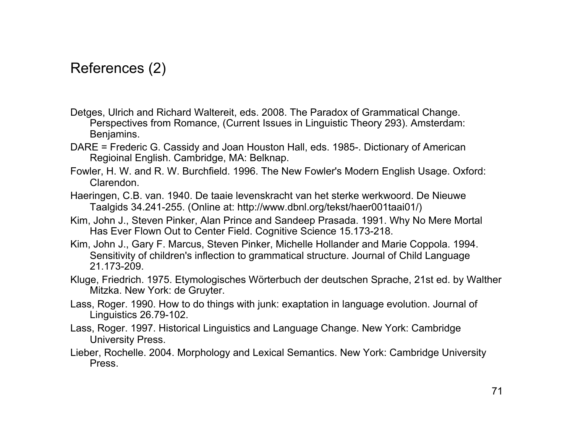#### References (2)

- Detges, Ulrich and Richard Waltereit, eds. 2008. The Paradox of Grammatical Change. Perspectives from Romance, (Current Issues in Linguistic Theory 293). Amsterdam: Benjamins.
- DARE = Frederic G. Cassidy and Joan Houston Hall, eds. 1985-. Dictionary of American Regioinal English. Cambridge, MA: Belknap.
- Fowler, H. W. and R. W. Burchfield. 1996. The New Fowler's Modern English Usage. Oxford: Clarendon.
- Haeringen, C.B. van. 1940. De taaie levenskracht van het sterke werkwoord. De Nieuwe Taalgids 34.241-255. (Online at: http://www.dbnl.org/tekst/haer001taai01/)
- Kim, John J., Steven Pinker, Alan Prince and Sandeep Prasada. 1991. Why No Mere Mortal Has Ever Flown Out to Center Field. Cognitive Science 15.173-218.
- Kim, John J., Gary F. Marcus, Steven Pinker, Michelle Hollander and Marie Coppola. 1994. Sensitivity of children's inflection to grammatical structure. Journal of Child Language 21.173-209.
- Kluge, Friedrich. 1975. Etymologisches Wörterbuch der deutschen Sprache, 21st ed. by Walther Mitzka. New York: de Gruyter.
- Lass, Roger. 1990. How to do things with junk: exaptation in language evolution. Journal of Linguistics 26.79-102.
- Lass, Roger. 1997. Historical Linguistics and Language Change. New York: Cambridge University Press.
- Lieber, Rochelle. 2004. Morphology and Lexical Semantics. New York: Cambridge University Press.